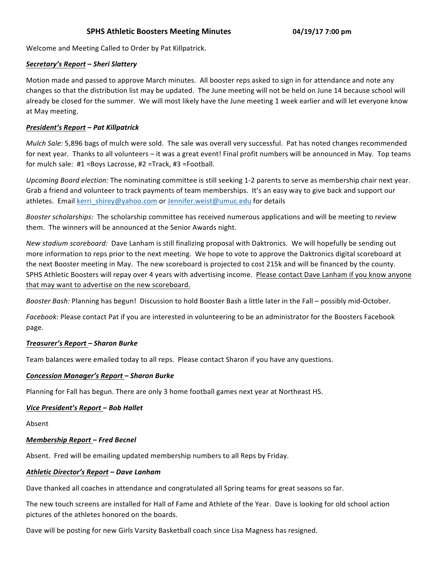## **SPHS Athletic Boosters Meeting Minutes 04/19/17 7:00 pm**

Welcome and Meeting Called to Order by Pat Killpatrick.

## *Secretary's Report – Sheri Slattery*

Motion made and passed to approve March minutes. All booster reps asked to sign in for attendance and note any changes so that the distribution list may be updated. The June meeting will not be held on June 14 because school will already be closed for the summer. We will most likely have the June meeting 1 week earlier and will let everyone know at May meeting.

### *President's Report – Pat Killpatrick*

*Mulch Sale:* 5,896 bags of mulch were sold. The sale was overall very successful. Pat has noted changes recommended for next year. Thanks to all volunteers – it was a great event! Final profit numbers will be announced in May. Top teams for mulch sale: #1 =Boys Lacrosse, #2 =Track, #3 =Football.

Upcoming Board election: The nominating committee is still seeking 1-2 parents to serve as membership chair next year. Grab a friend and volunteer to track payments of team memberships. It's an easy way to give back and support our athletes. Email kerri shirey@yahoo.com or Jennifer.weist@umuc.edu for details

*Booster scholarships:* The scholarship committee has received numerous applications and will be meeting to review them. The winners will be announced at the Senior Awards night.

New stadium scoreboard: Dave Lanham is still finalizing proposal with Daktronics. We will hopefully be sending out more information to reps prior to the next meeting. We hope to vote to approve the Daktronics digital scoreboard at the next Booster meeting in May. The new scoreboard is projected to cost 215k and will be financed by the county. SPHS Athletic Boosters will repay over 4 years with advertising income. Please contact Dave Lanham if you know anyone that may want to advertise on the new scoreboard.

*Booster Bash:* Planning has begun! Discussion to hold Booster Bash a little later in the Fall – possibly mid-October.

Facebook: Please contact Pat if you are interested in volunteering to be an administrator for the Boosters Facebook page.

## *Treasurer's Report – Sharon Burke*

Team balances were emailed today to all reps. Please contact Sharon if you have any questions.

## *Concession Manager's Report – Sharon Burke*

Planning for Fall has begun. There are only 3 home football games next year at Northeast HS.

#### *Vice President's Report – Bob Hallet*

Absent

#### *Membership Report – Fred Becnel*

Absent. Fred will be emailing updated membership numbers to all Reps by Friday.

#### *Athletic Director's Report – Dave Lanham*

Dave thanked all coaches in attendance and congratulated all Spring teams for great seasons so far.

The new touch screens are installed for Hall of Fame and Athlete of the Year. Dave is looking for old school action pictures of the athletes honored on the boards.

Dave will be posting for new Girls Varsity Basketball coach since Lisa Magness has resigned.